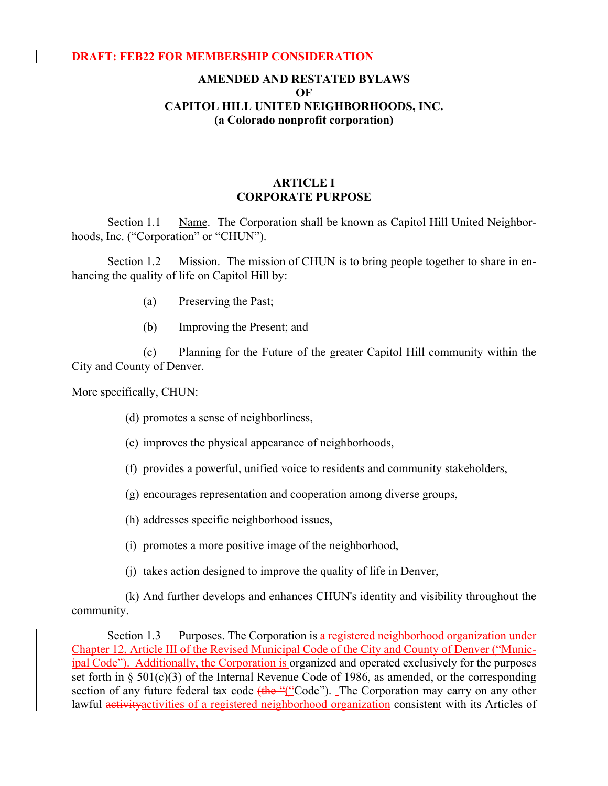#### **DRAFT: FEB22 FOR MEMBERSHIP CONSIDERATION**

# **AMENDED AND RESTATED BYLAWS OF CAPITOL HILL UNITED NEIGHBORHOODS, INC. (a Colorado nonprofit corporation)**

## **ARTICLE I CORPORATE PURPOSE**

Section 1.1 Name. The Corporation shall be known as Capitol Hill United Neighborhoods, Inc. ("Corporation" or "CHUN").

Section 1.2 Mission. The mission of CHUN is to bring people together to share in enhancing the quality of life on Capitol Hill by:

- (a) Preserving the Past;
- (b) Improving the Present; and

(c) Planning for the Future of the greater Capitol Hill community within the City and County of Denver.

More specifically, CHUN:

(d) promotes a sense of neighborliness,

- (e) improves the physical appearance of neighborhoods,
- (f) provides a powerful, unified voice to residents and community stakeholders,
- (g) encourages representation and cooperation among diverse groups,
- (h) addresses specific neighborhood issues,
- (i) promotes a more positive image of the neighborhood,
- (j) takes action designed to improve the quality of life in Denver,

(k) And further develops and enhances CHUN's identity and visibility throughout the community.

Section 1.3 Purposes. The Corporation is a registered neighborhood organization under Chapter 12, Article III of the Revised Municipal Code of the City and County of Denver ("Municipal Code"). Additionally, the Corporation is organized and operated exclusively for the purposes set forth in § 501(c)(3) of the Internal Revenue Code of 1986, as amended, or the corresponding section of any future federal tax code  $(Hhe''("Code")$ . The Corporation may carry on any other lawful activity activities of a registered neighborhood organization consistent with its Articles of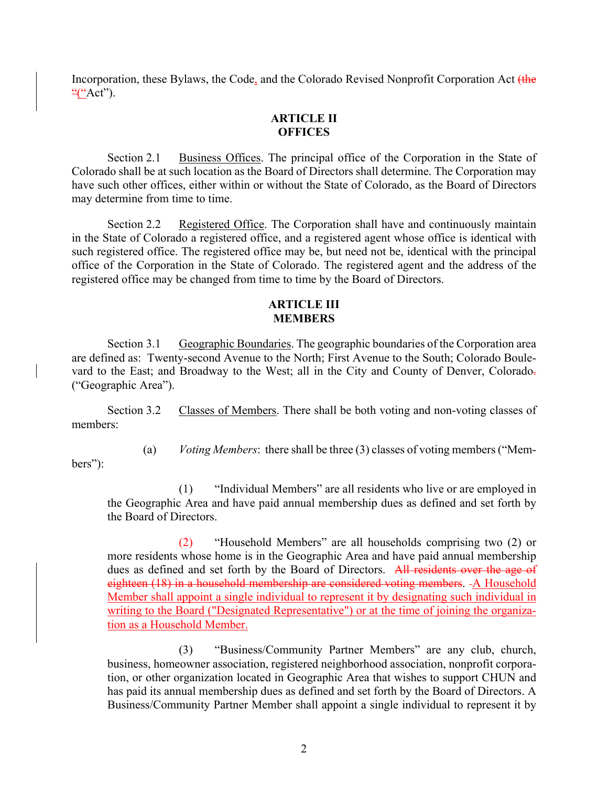Incorporation, these Bylaws, the Code, and the Colorado Revised Nonprofit Corporation Act (the  $\frac{``(``Act")}{``(``Act")}.$ 

# **ARTICLE II OFFICES**

Section 2.1 Business Offices. The principal office of the Corporation in the State of Colorado shall be at such location as the Board of Directors shall determine. The Corporation may have such other offices, either within or without the State of Colorado, as the Board of Directors may determine from time to time.

Section 2.2 Registered Office. The Corporation shall have and continuously maintain in the State of Colorado a registered office, and a registered agent whose office is identical with such registered office. The registered office may be, but need not be, identical with the principal office of the Corporation in the State of Colorado. The registered agent and the address of the registered office may be changed from time to time by the Board of Directors.

### **ARTICLE III MEMBERS**

Section 3.1 Geographic Boundaries. The geographic boundaries of the Corporation area are defined as: Twenty-second Avenue to the North; First Avenue to the South; Colorado Boulevard to the East; and Broadway to the West; all in the City and County of Denver, Colorado. ("Geographic Area").

Section 3.2 Classes of Members. There shall be both voting and non-voting classes of members:

(a) *Voting Members*: there shall be three (3) classes of voting members ("Mem-

bers"):

(1) "Individual Members" are all residents who live or are employed in the Geographic Area and have paid annual membership dues as defined and set forth by the Board of Directors.

(2) "Household Members" are all households comprising two (2) or more residents whose home is in the Geographic Area and have paid annual membership dues as defined and set forth by the Board of Directors. All residents over the age of eighteen (18) in a household membership are considered voting members. - A Household Member shall appoint a single individual to represent it by designating such individual in writing to the Board ("Designated Representative") or at the time of joining the organization as a Household Member.

(3) "Business/Community Partner Members" are any club, church, business, homeowner association, registered neighborhood association, nonprofit corporation, or other organization located in Geographic Area that wishes to support CHUN and has paid its annual membership dues as defined and set forth by the Board of Directors. A Business/Community Partner Member shall appoint a single individual to represent it by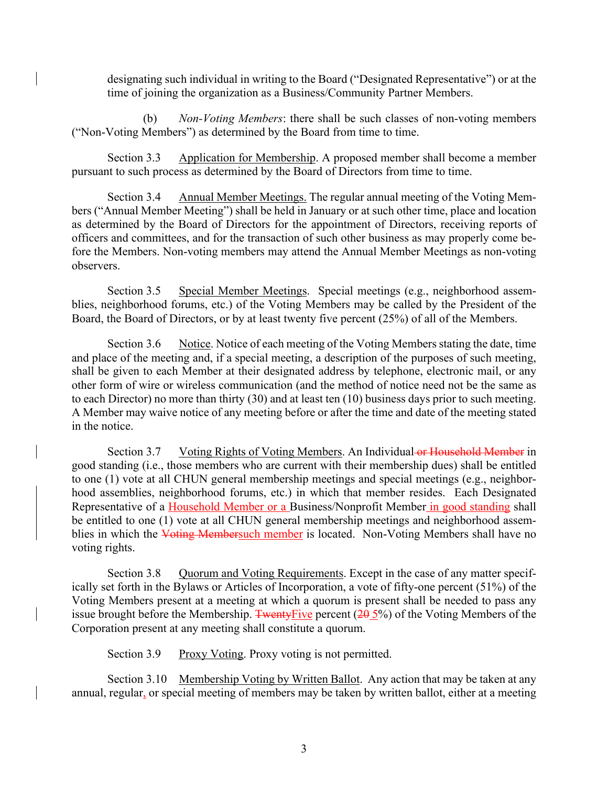designating such individual in writing to the Board ("Designated Representative") or at the time of joining the organization as a Business/Community Partner Members.

(b) *Non-Voting Members*: there shall be such classes of non-voting members ("Non-Voting Members") as determined by the Board from time to time.

Section 3.3 Application for Membership. A proposed member shall become a member pursuant to such process as determined by the Board of Directors from time to time.

Section 3.4 Annual Member Meetings. The regular annual meeting of the Voting Members ("Annual Member Meeting") shall be held in January or at such other time, place and location as determined by the Board of Directors for the appointment of Directors, receiving reports of officers and committees, and for the transaction of such other business as may properly come before the Members. Non-voting members may attend the Annual Member Meetings as non-voting observers.

Section 3.5 Special Member Meetings. Special meetings (e.g., neighborhood assemblies, neighborhood forums, etc.) of the Voting Members may be called by the President of the Board, the Board of Directors, or by at least twenty five percent (25%) of all of the Members.

Section 3.6 Notice. Notice of each meeting of the Voting Members stating the date, time and place of the meeting and, if a special meeting, a description of the purposes of such meeting, shall be given to each Member at their designated address by telephone, electronic mail, or any other form of wire or wireless communication (and the method of notice need not be the same as to each Director) no more than thirty (30) and at least ten (10) business days prior to such meeting. A Member may waive notice of any meeting before or after the time and date of the meeting stated in the notice.

Section 3.7 Voting Rights of Voting Members. An Individual or Household Member in good standing (i.e., those members who are current with their membership dues) shall be entitled to one (1) vote at all CHUN general membership meetings and special meetings (e.g., neighborhood assemblies, neighborhood forums, etc.) in which that member resides. Each Designated Representative of a **Household Member or a** Business/Nonprofit Member in good standing shall be entitled to one (1) vote at all CHUN general membership meetings and neighborhood assemblies in which the Voting Membersuch member is located. Non-Voting Members shall have no voting rights.

Section 3.8 Quorum and Voting Requirements. Except in the case of any matter specifically set forth in the Bylaws or Articles of Incorporation, a vote of fifty-one percent (51%) of the Voting Members present at a meeting at which a quorum is present shall be needed to pass any issue brought before the Membership. Twenty Five percent  $(20, 5\%)$  of the Voting Members of the Corporation present at any meeting shall constitute a quorum.

Section 3.9 Proxy Voting. Proxy voting is not permitted.

Section 3.10 Membership Voting by Written Ballot. Any action that may be taken at any annual, regular, or special meeting of members may be taken by written ballot, either at a meeting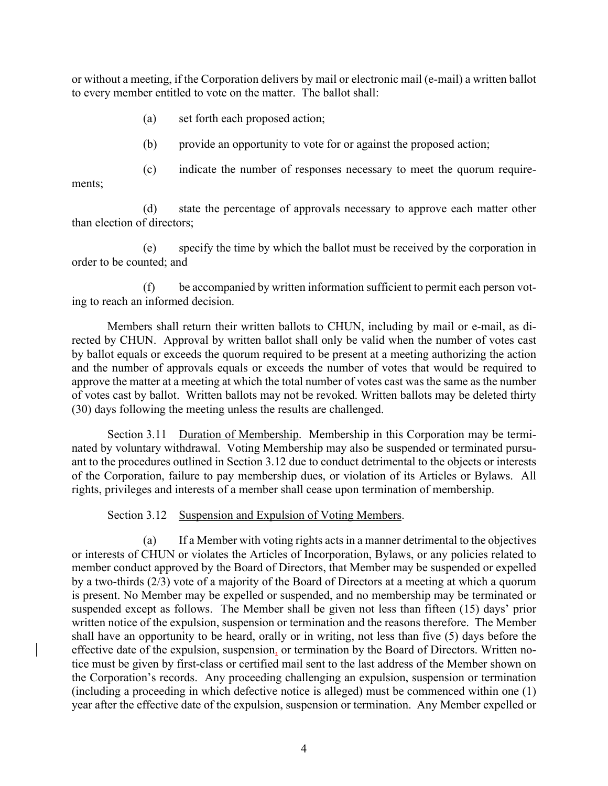or without a meeting, if the Corporation delivers by mail or electronic mail (e-mail) a written ballot to every member entitled to vote on the matter. The ballot shall:

- (a) set forth each proposed action;
- (b) provide an opportunity to vote for or against the proposed action;

(c) indicate the number of responses necessary to meet the quorum requirements;

(d) state the percentage of approvals necessary to approve each matter other than election of directors;

(e) specify the time by which the ballot must be received by the corporation in order to be counted; and

(f) be accompanied by written information sufficient to permit each person voting to reach an informed decision.

Members shall return their written ballots to CHUN, including by mail or e-mail, as directed by CHUN. Approval by written ballot shall only be valid when the number of votes cast by ballot equals or exceeds the quorum required to be present at a meeting authorizing the action and the number of approvals equals or exceeds the number of votes that would be required to approve the matter at a meeting at which the total number of votes cast was the same as the number of votes cast by ballot. Written ballots may not be revoked. Written ballots may be deleted thirty (30) days following the meeting unless the results are challenged.

Section 3.11 Duration of Membership. Membership in this Corporation may be terminated by voluntary withdrawal. Voting Membership may also be suspended or terminated pursuant to the procedures outlined in Section 3.12 due to conduct detrimental to the objects or interests of the Corporation, failure to pay membership dues, or violation of its Articles or Bylaws. All rights, privileges and interests of a member shall cease upon termination of membership.

Section 3.12 Suspension and Expulsion of Voting Members.

(a) If a Member with voting rights acts in a manner detrimental to the objectives or interests of CHUN or violates the Articles of Incorporation, Bylaws, or any policies related to member conduct approved by the Board of Directors, that Member may be suspended or expelled by a two-thirds (2/3) vote of a majority of the Board of Directors at a meeting at which a quorum is present. No Member may be expelled or suspended, and no membership may be terminated or suspended except as follows. The Member shall be given not less than fifteen (15) days' prior written notice of the expulsion, suspension or termination and the reasons therefore. The Member shall have an opportunity to be heard, orally or in writing, not less than five (5) days before the effective date of the expulsion, suspension, or termination by the Board of Directors. Written notice must be given by first-class or certified mail sent to the last address of the Member shown on the Corporation's records. Any proceeding challenging an expulsion, suspension or termination (including a proceeding in which defective notice is alleged) must be commenced within one (1) year after the effective date of the expulsion, suspension or termination. Any Member expelled or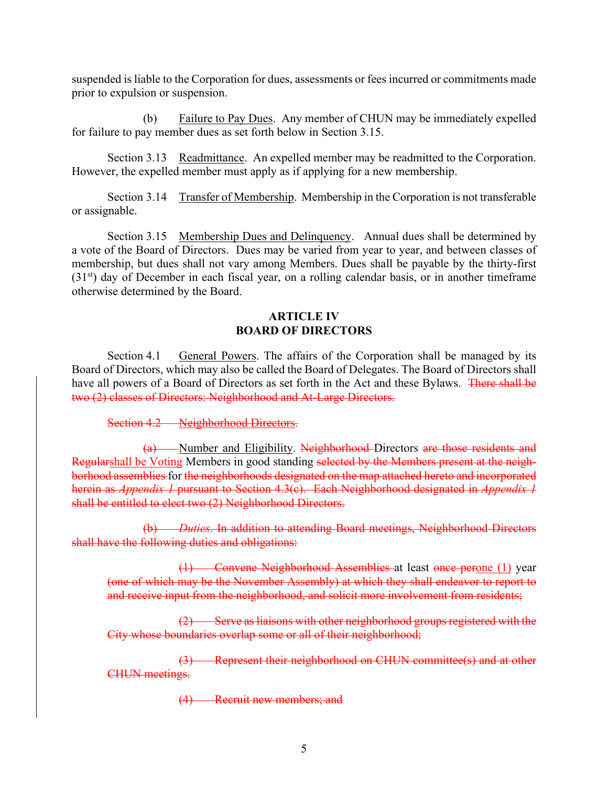suspended is liable to the Corporation for dues, assessments or fees incurred or commitments made prior to expulsion or suspension.

(b) Failure to Pay Dues. Any member of CHUN may be immediately expelled for failure to pay member dues as set forth below in Section 3.15.

Section 3.13 Readmittance. An expelled member may be readmitted to the Corporation. However, the expelled member must apply as if applying for a new membership.

Section 3.14 Transfer of Membership. Membership in the Corporation is not transferable or assignable.

Section 3.15 Membership Dues and Delinquency. Annual dues shall be determined by a vote of the Board of Directors. Dues may be varied from year to year, and between classes of membership, but dues shall not vary among Members. Dues shall be payable by the thirty-first (31st) day of December in each fiscal year, on a rolling calendar basis, or in another timeframe otherwise determined by the Board.

## **ARTICLE IV BOARD OF DIRECTORS**

Section 4.1 General Powers. The affairs of the Corporation shall be managed by its Board of Directors, which may also be called the Board of Delegates. The Board of Directors shall have all powers of a Board of Directors as set forth in the Act and these Bylaws. There shall be two (2) classes of Directors: Neighborhood and At-Large Directors.

Section 4.2 Neighborhood Directors.

(a) Number and Eligibility. Neighborhood Directors are those residents and Regularshall be Voting Members in good standing selected by the Members present at the neighborhood assemblies for the neighborhoods designated on the map attached hereto and incorporated herein as *Appendix 1* pursuant to Section 4.3(c). Each Neighborhood designated in *Appendix 1* shall be entitled to elect two (2) Neighborhood Directors.

(b) *Duties*. In addition to attending Board meetings, Neighborhood Directors shall have the following duties and obligations:

(1) Convene Neighborhood Assemblies at least once perone (1) year (one of which may be the November Assembly) at which they shall endeavor to report to and receive input from the neighborhood, and solicit more involvement from residents;

(2) Serve as liaisons with other neighborhood groups registered with the City whose boundaries overlap some or all of their neighborhood;

(3) Represent their neighborhood on CHUN committee(s) and at other CHUN meetings.

(4) Recruit new members; and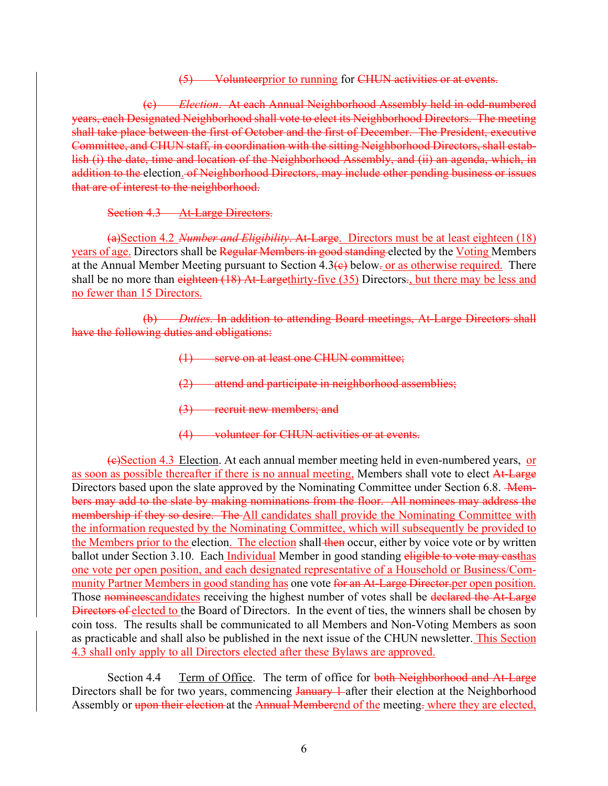(5) Volunteerprior to running for CHUN activities or at events.

(c) *Election*. At each Annual Neighborhood Assembly held in odd-numbered years, each Designated Neighborhood shall vote to elect its Neighborhood Directors. The meeting shall take place between the first of October and the first of December. The President, executive Committee, and CHUN staff, in coordination with the sitting Neighborhood Directors, shall establish (i) the date, time and location of the Neighborhood Assembly, and (ii) an agenda, which, in addition to the election. of Neighborhood Directors, may include other pending business or issues that are of interest to the neighborhood.

Section 4.3 At-Large Directors.

(a)Section 4.2 *Number and Eligibility*. At-Large. Directors must be at least eighteen (18) years of age. Directors shall be Regular Members in good standing elected by the Voting Members at the Annual Member Meeting pursuant to Section  $4.3\left(e\right)$  below. or as otherwise required. There shall be no more than eighteen (18) At-Largethirty-five (35) Directors., but there may be less and no fewer than 15 Directors.

(b) *Duties*. In addition to attending Board meetings, At-Large Directors shall have the following duties and obligations:

- (1) serve on at least one CHUN committee;
- (2) attend and participate in neighborhood assemblies;
- (3) recruit new members; and
- (4) volunteer for CHUN activities or at events.

(c)Section 4.3 Election. At each annual member meeting held in even-numbered years, or as soon as possible thereafter if there is no annual meeting, Members shall vote to elect At-Large Directors based upon the slate approved by the Nominating Committee under Section 6.8. - Members may add to the slate by making nominations from the floor. All nominees may address the membership if they so desire. The All candidates shall provide the Nominating Committee with the information requested by the Nominating Committee, which will subsequently be provided to the Members prior to the election. The election shall then occur, either by voice vote or by written ballot under Section 3.10. Each *Individual* Member in good standing eligible to vote may casthas one vote per open position, and each designated representative of a Household or Business/Community Partner Members in good standing has one vote for an At-Large Director per open position. Those nomines example are receiving the highest number of votes shall be declared the At-Large Directors of elected to the Board of Directors. In the event of ties, the winners shall be chosen by coin toss. The results shall be communicated to all Members and Non-Voting Members as soon as practicable and shall also be published in the next issue of the CHUN newsletter. This Section 4.3 shall only apply to all Directors elected after these Bylaws are approved.

Section 4.4 Term of Office. The term of office for both Neighborhood and At-Large Directors shall be for two years, commencing January 1-after their election at the Neighborhood Assembly or upon their election at the Annual Memberend of the meeting-where they are elected,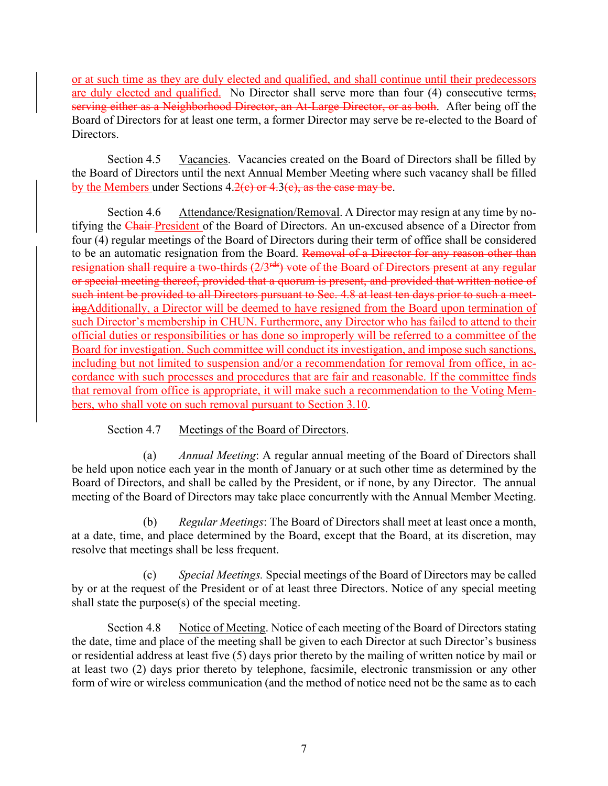or at such time as they are duly elected and qualified, and shall continue until their predecessors are duly elected and qualified. No Director shall serve more than four (4) consecutive terms, serving either as a Neighborhood Director, an At-Large Director, or as both. After being off the Board of Directors for at least one term, a former Director may serve be re-elected to the Board of Directors.

Section 4.5 Vacancies. Vacancies created on the Board of Directors shall be filled by the Board of Directors until the next Annual Member Meeting where such vacancy shall be filled by the Members under Sections  $4.2(e)$  or  $4.3(e)$ , as the case may be.

Section 4.6 Attendance/Resignation/Removal. A Director may resign at any time by notifying the Chair President of the Board of Directors. An un-excused absence of a Director from four (4) regular meetings of the Board of Directors during their term of office shall be considered to be an automatic resignation from the Board. Removal of a Director for any reason other than resignation shall require a two-thirds (2/3<sup>rds</sup>) vote of the Board of Directors present at any regular or special meeting thereof, provided that a quorum is present, and provided that written notice of such intent be provided to all Directors pursuant to Sec. 4.8 at least ten days prior to such a meetingAdditionally, a Director will be deemed to have resigned from the Board upon termination of such Director's membership in CHUN. Furthermore, any Director who has failed to attend to their official duties or responsibilities or has done so improperly will be referred to a committee of the Board for investigation. Such committee will conduct its investigation, and impose such sanctions, including but not limited to suspension and/or a recommendation for removal from office, in accordance with such processes and procedures that are fair and reasonable. If the committee finds that removal from office is appropriate, it will make such a recommendation to the Voting Members, who shall vote on such removal pursuant to Section 3.10.

## Section 4.7 Meetings of the Board of Directors.

(a) *Annual Meeting*: A regular annual meeting of the Board of Directors shall be held upon notice each year in the month of January or at such other time as determined by the Board of Directors, and shall be called by the President, or if none, by any Director. The annual meeting of the Board of Directors may take place concurrently with the Annual Member Meeting.

(b) *Regular Meetings*: The Board of Directors shall meet at least once a month, at a date, time, and place determined by the Board, except that the Board, at its discretion, may resolve that meetings shall be less frequent.

(c) *Special Meetings.* Special meetings of the Board of Directors may be called by or at the request of the President or of at least three Directors. Notice of any special meeting shall state the purpose(s) of the special meeting.

Section 4.8 Notice of Meeting. Notice of each meeting of the Board of Directors stating the date, time and place of the meeting shall be given to each Director at such Director's business or residential address at least five (5) days prior thereto by the mailing of written notice by mail or at least two (2) days prior thereto by telephone, facsimile, electronic transmission or any other form of wire or wireless communication (and the method of notice need not be the same as to each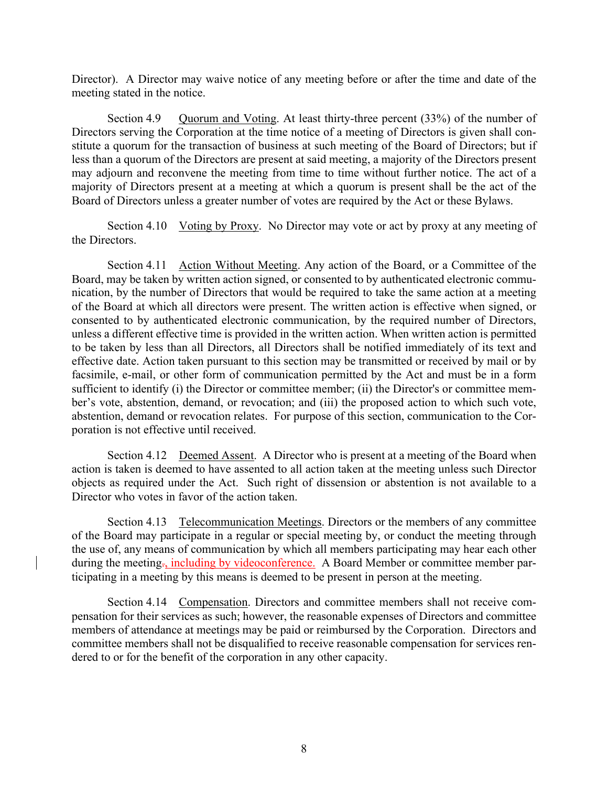Director). A Director may waive notice of any meeting before or after the time and date of the meeting stated in the notice.

Section 4.9 Quorum and Voting. At least thirty-three percent (33%) of the number of Directors serving the Corporation at the time notice of a meeting of Directors is given shall constitute a quorum for the transaction of business at such meeting of the Board of Directors; but if less than a quorum of the Directors are present at said meeting, a majority of the Directors present may adjourn and reconvene the meeting from time to time without further notice. The act of a majority of Directors present at a meeting at which a quorum is present shall be the act of the Board of Directors unless a greater number of votes are required by the Act or these Bylaws.

Section 4.10 Voting by Proxy. No Director may vote or act by proxy at any meeting of the Directors.

Section 4.11 Action Without Meeting. Any action of the Board, or a Committee of the Board, may be taken by written action signed, or consented to by authenticated electronic communication, by the number of Directors that would be required to take the same action at a meeting of the Board at which all directors were present. The written action is effective when signed, or consented to by authenticated electronic communication, by the required number of Directors, unless a different effective time is provided in the written action. When written action is permitted to be taken by less than all Directors, all Directors shall be notified immediately of its text and effective date. Action taken pursuant to this section may be transmitted or received by mail or by facsimile, e-mail, or other form of communication permitted by the Act and must be in a form sufficient to identify (i) the Director or committee member; (ii) the Director's or committee member's vote, abstention, demand, or revocation; and (iii) the proposed action to which such vote, abstention, demand or revocation relates. For purpose of this section, communication to the Corporation is not effective until received.

Section 4.12 Deemed Assent. A Director who is present at a meeting of the Board when action is taken is deemed to have assented to all action taken at the meeting unless such Director objects as required under the Act. Such right of dissension or abstention is not available to a Director who votes in favor of the action taken.

Section 4.13 Telecommunication Meetings. Directors or the members of any committee of the Board may participate in a regular or special meeting by, or conduct the meeting through the use of, any means of communication by which all members participating may hear each other during the meeting<sub>7</sub>, including by videoconference. A Board Member or committee member participating in a meeting by this means is deemed to be present in person at the meeting.

Section 4.14 Compensation. Directors and committee members shall not receive compensation for their services as such; however, the reasonable expenses of Directors and committee members of attendance at meetings may be paid or reimbursed by the Corporation. Directors and committee members shall not be disqualified to receive reasonable compensation for services rendered to or for the benefit of the corporation in any other capacity.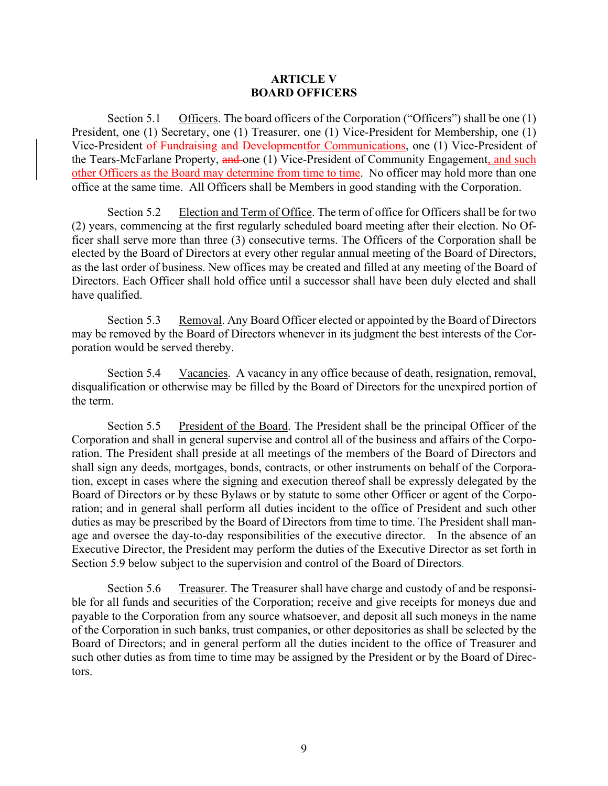#### **ARTICLE V BOARD OFFICERS**

Section 5.1 Officers. The board officers of the Corporation ("Officers") shall be one (1) President, one (1) Secretary, one (1) Treasurer, one (1) Vice-President for Membership, one (1) Vice-President of Fundraising and Developmentfor Communications, one (1) Vice-President of the Tears-McFarlane Property, and one (1) Vice-President of Community Engagement, and such other Officers as the Board may determine from time to time. No officer may hold more than one office at the same time. All Officers shall be Members in good standing with the Corporation.

Section 5.2 Election and Term of Office. The term of office for Officers shall be for two (2) years, commencing at the first regularly scheduled board meeting after their election. No Officer shall serve more than three (3) consecutive terms. The Officers of the Corporation shall be elected by the Board of Directors at every other regular annual meeting of the Board of Directors, as the last order of business. New offices may be created and filled at any meeting of the Board of Directors. Each Officer shall hold office until a successor shall have been duly elected and shall have qualified.

Section 5.3 Removal. Any Board Officer elected or appointed by the Board of Directors may be removed by the Board of Directors whenever in its judgment the best interests of the Corporation would be served thereby.

Section 5.4 Vacancies. A vacancy in any office because of death, resignation, removal, disqualification or otherwise may be filled by the Board of Directors for the unexpired portion of the term.

Section 5.5 President of the Board. The President shall be the principal Officer of the Corporation and shall in general supervise and control all of the business and affairs of the Corporation. The President shall preside at all meetings of the members of the Board of Directors and shall sign any deeds, mortgages, bonds, contracts, or other instruments on behalf of the Corporation, except in cases where the signing and execution thereof shall be expressly delegated by the Board of Directors or by these Bylaws or by statute to some other Officer or agent of the Corporation; and in general shall perform all duties incident to the office of President and such other duties as may be prescribed by the Board of Directors from time to time. The President shall manage and oversee the day-to-day responsibilities of the executive director. In the absence of an Executive Director, the President may perform the duties of the Executive Director as set forth in Section 5.9 below subject to the supervision and control of the Board of Directors.

Section 5.6 Treasurer. The Treasurer shall have charge and custody of and be responsible for all funds and securities of the Corporation; receive and give receipts for moneys due and payable to the Corporation from any source whatsoever, and deposit all such moneys in the name of the Corporation in such banks, trust companies, or other depositories as shall be selected by the Board of Directors; and in general perform all the duties incident to the office of Treasurer and such other duties as from time to time may be assigned by the President or by the Board of Directors.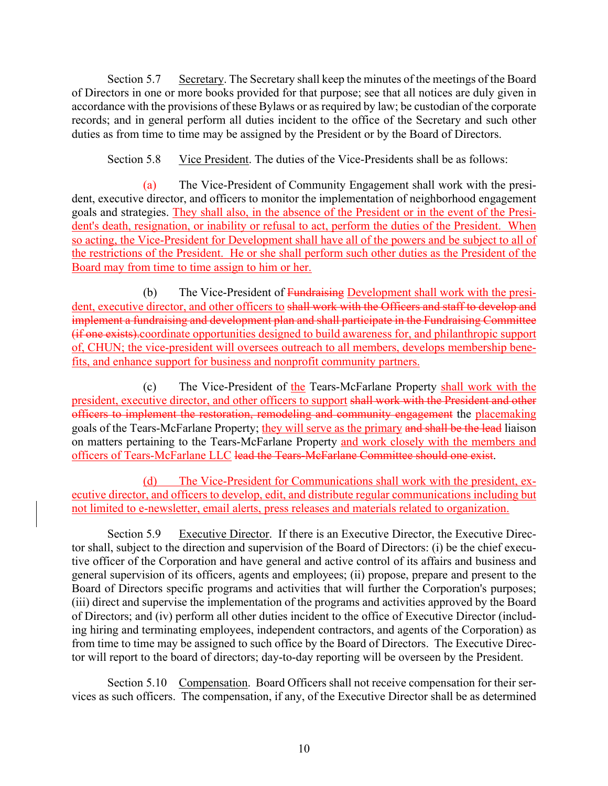Section 5.7 Secretary. The Secretary shall keep the minutes of the meetings of the Board of Directors in one or more books provided for that purpose; see that all notices are duly given in accordance with the provisions of these Bylaws or as required by law; be custodian of the corporate records; and in general perform all duties incident to the office of the Secretary and such other duties as from time to time may be assigned by the President or by the Board of Directors.

Section 5.8 Vice President. The duties of the Vice-Presidents shall be as follows:

(a) The Vice-President of Community Engagement shall work with the president, executive director, and officers to monitor the implementation of neighborhood engagement goals and strategies. They shall also, in the absence of the President or in the event of the President's death, resignation, or inability or refusal to act, perform the duties of the President. When so acting, the Vice-President for Development shall have all of the powers and be subject to all of the restrictions of the President. He or she shall perform such other duties as the President of the Board may from time to time assign to him or her.

(b) The Vice-President of Fundraising Development shall work with the president, executive director, and other officers to shall work with the Officers and staff to develop and implement a fundraising and development plan and shall participate in the Fundraising Committee (if one exists).coordinate opportunities designed to build awareness for, and philanthropic support of, CHUN; the vice-president will oversees outreach to all members, develops membership benefits, and enhance support for business and nonprofit community partners.

(c) The Vice-President of the Tears-McFarlane Property shall work with the president, executive director, and other officers to support shall work with the President and other officers to implement the restoration, remodeling and community engagement the placemaking goals of the Tears-McFarlane Property; they will serve as the primary and shall be the lead liaison on matters pertaining to the Tears-McFarlane Property and work closely with the members and officers of Tears-McFarlane LLC lead the Tears-McFarlane Committee should one exist.

(d) The Vice-President for Communications shall work with the president, executive director, and officers to develop, edit, and distribute regular communications including but not limited to e-newsletter, email alerts, press releases and materials related to organization.

Section 5.9 Executive Director. If there is an Executive Director, the Executive Director shall, subject to the direction and supervision of the Board of Directors: (i) be the chief executive officer of the Corporation and have general and active control of its affairs and business and general supervision of its officers, agents and employees; (ii) propose, prepare and present to the Board of Directors specific programs and activities that will further the Corporation's purposes; (iii) direct and supervise the implementation of the programs and activities approved by the Board of Directors; and (iv) perform all other duties incident to the office of Executive Director (including hiring and terminating employees, independent contractors, and agents of the Corporation) as from time to time may be assigned to such office by the Board of Directors. The Executive Director will report to the board of directors; day-to-day reporting will be overseen by the President.

Section 5.10 Compensation. Board Officers shall not receive compensation for their services as such officers. The compensation, if any, of the Executive Director shall be as determined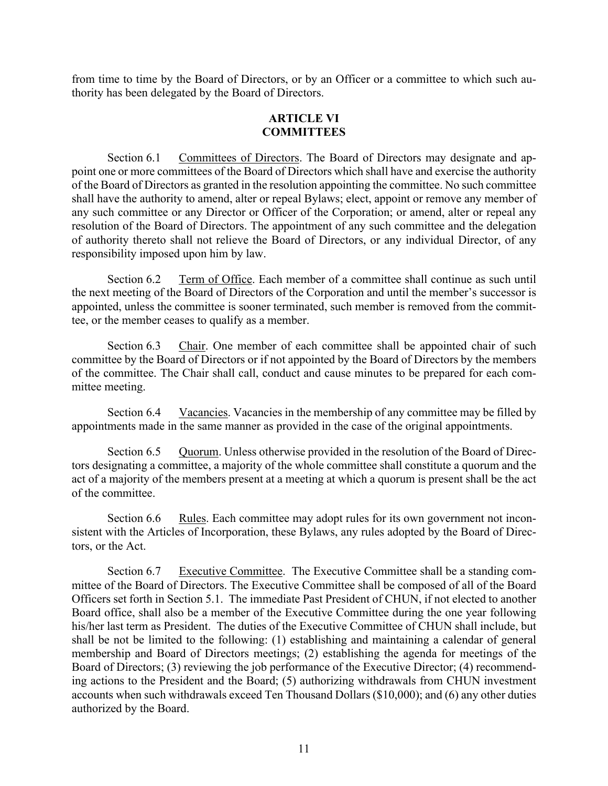from time to time by the Board of Directors, or by an Officer or a committee to which such authority has been delegated by the Board of Directors.

# **ARTICLE VI COMMITTEES**

Section 6.1 Committees of Directors. The Board of Directors may designate and appoint one or more committees of the Board of Directors which shall have and exercise the authority of the Board of Directors as granted in the resolution appointing the committee. No such committee shall have the authority to amend, alter or repeal Bylaws; elect, appoint or remove any member of any such committee or any Director or Officer of the Corporation; or amend, alter or repeal any resolution of the Board of Directors. The appointment of any such committee and the delegation of authority thereto shall not relieve the Board of Directors, or any individual Director, of any responsibility imposed upon him by law.

Section 6.2 Term of Office. Each member of a committee shall continue as such until the next meeting of the Board of Directors of the Corporation and until the member's successor is appointed, unless the committee is sooner terminated, such member is removed from the committee, or the member ceases to qualify as a member.

Section 6.3 Chair. One member of each committee shall be appointed chair of such committee by the Board of Directors or if not appointed by the Board of Directors by the members of the committee. The Chair shall call, conduct and cause minutes to be prepared for each committee meeting.

Section 6.4 Vacancies. Vacancies in the membership of any committee may be filled by appointments made in the same manner as provided in the case of the original appointments.

Section 6.5 Quorum. Unless otherwise provided in the resolution of the Board of Directors designating a committee, a majority of the whole committee shall constitute a quorum and the act of a majority of the members present at a meeting at which a quorum is present shall be the act of the committee.

Section 6.6 Rules. Each committee may adopt rules for its own government not inconsistent with the Articles of Incorporation, these Bylaws, any rules adopted by the Board of Directors, or the Act.

Section 6.7 Executive Committee. The Executive Committee shall be a standing committee of the Board of Directors. The Executive Committee shall be composed of all of the Board Officers set forth in Section 5.1. The immediate Past President of CHUN, if not elected to another Board office, shall also be a member of the Executive Committee during the one year following his/her last term as President. The duties of the Executive Committee of CHUN shall include, but shall be not be limited to the following: (1) establishing and maintaining a calendar of general membership and Board of Directors meetings; (2) establishing the agenda for meetings of the Board of Directors; (3) reviewing the job performance of the Executive Director; (4) recommending actions to the President and the Board; (5) authorizing withdrawals from CHUN investment accounts when such withdrawals exceed Ten Thousand Dollars (\$10,000); and (6) any other duties authorized by the Board.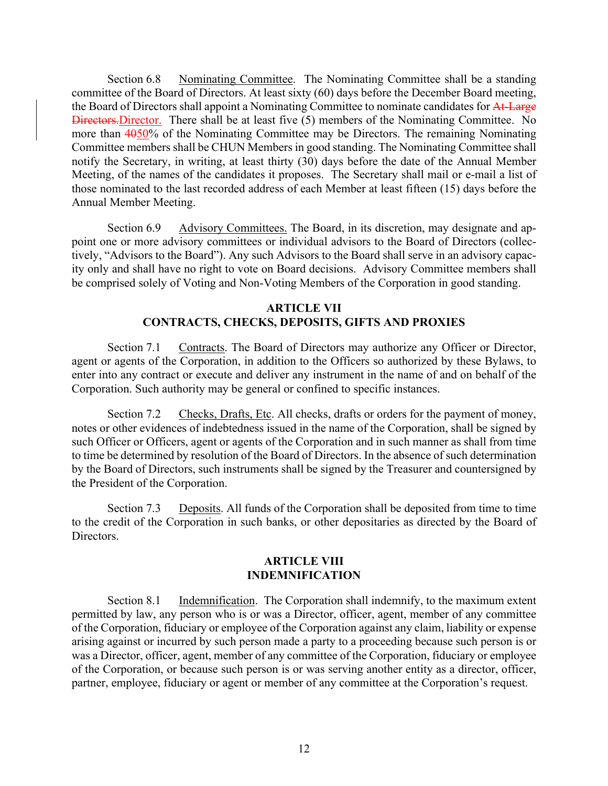Section 6.8 Nominating Committee. The Nominating Committee shall be a standing committee of the Board of Directors. At least sixty (60) days before the December Board meeting, the Board of Directors shall appoint a Nominating Committee to nominate candidates for At-Large Directors.Director. There shall be at least five (5) members of the Nominating Committee. No more than 4050% of the Nominating Committee may be Directors. The remaining Nominating Committee members shall be CHUN Members in good standing. The Nominating Committee shall notify the Secretary, in writing, at least thirty (30) days before the date of the Annual Member Meeting, of the names of the candidates it proposes. The Secretary shall mail or e-mail a list of those nominated to the last recorded address of each Member at least fifteen (15) days before the Annual Member Meeting.

Section 6.9 Advisory Committees. The Board, in its discretion, may designate and appoint one or more advisory committees or individual advisors to the Board of Directors (collectively, "Advisors to the Board"). Any such Advisors to the Board shall serve in an advisory capacity only and shall have no right to vote on Board decisions. Advisory Committee members shall be comprised solely of Voting and Non-Voting Members of the Corporation in good standing.

## **ARTICLE VII CONTRACTS, CHECKS, DEPOSITS, GIFTS AND PROXIES**

Section 7.1 Contracts. The Board of Directors may authorize any Officer or Director, agent or agents of the Corporation, in addition to the Officers so authorized by these Bylaws, to enter into any contract or execute and deliver any instrument in the name of and on behalf of the Corporation. Such authority may be general or confined to specific instances.

Section 7.2 Checks, Drafts, Etc. All checks, drafts or orders for the payment of money, notes or other evidences of indebtedness issued in the name of the Corporation, shall be signed by such Officer or Officers, agent or agents of the Corporation and in such manner as shall from time to time be determined by resolution of the Board of Directors. In the absence of such determination by the Board of Directors, such instruments shall be signed by the Treasurer and countersigned by the President of the Corporation.

Section 7.3 Deposits. All funds of the Corporation shall be deposited from time to time to the credit of the Corporation in such banks, or other depositaries as directed by the Board of Directors.

## **ARTICLE VIII INDEMNIFICATION**

Section 8.1 Indemnification. The Corporation shall indemnify, to the maximum extent permitted by law, any person who is or was a Director, officer, agent, member of any committee of the Corporation, fiduciary or employee of the Corporation against any claim, liability or expense arising against or incurred by such person made a party to a proceeding because such person is or was a Director, officer, agent, member of any committee of the Corporation, fiduciary or employee of the Corporation, or because such person is or was serving another entity as a director, officer, partner, employee, fiduciary or agent or member of any committee at the Corporation's request.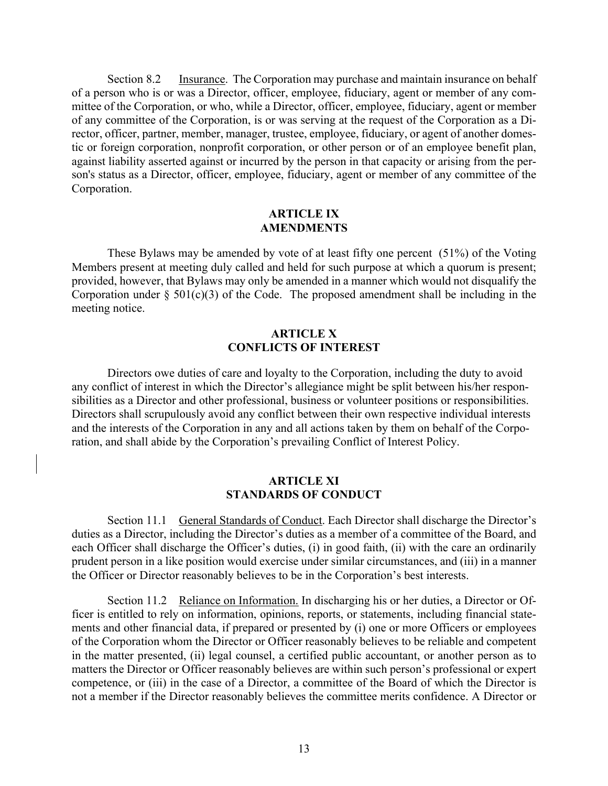Section 8.2 Insurance. The Corporation may purchase and maintain insurance on behalf of a person who is or was a Director, officer, employee, fiduciary, agent or member of any committee of the Corporation, or who, while a Director, officer, employee, fiduciary, agent or member of any committee of the Corporation, is or was serving at the request of the Corporation as a Director, officer, partner, member, manager, trustee, employee, fiduciary, or agent of another domestic or foreign corporation, nonprofit corporation, or other person or of an employee benefit plan, against liability asserted against or incurred by the person in that capacity or arising from the person's status as a Director, officer, employee, fiduciary, agent or member of any committee of the Corporation.

## **ARTICLE IX AMENDMENTS**

These Bylaws may be amended by vote of at least fifty one percent (51%) of the Voting Members present at meeting duly called and held for such purpose at which a quorum is present; provided, however, that Bylaws may only be amended in a manner which would not disqualify the Corporation under  $\S 501(c)(3)$  of the Code. The proposed amendment shall be including in the meeting notice.

#### **ARTICLE X CONFLICTS OF INTEREST**

Directors owe duties of care and loyalty to the Corporation, including the duty to avoid any conflict of interest in which the Director's allegiance might be split between his/her responsibilities as a Director and other professional, business or volunteer positions or responsibilities. Directors shall scrupulously avoid any conflict between their own respective individual interests and the interests of the Corporation in any and all actions taken by them on behalf of the Corporation, and shall abide by the Corporation's prevailing Conflict of Interest Policy.

### **ARTICLE XI STANDARDS OF CONDUCT**

Section 11.1 General Standards of Conduct. Each Director shall discharge the Director's duties as a Director, including the Director's duties as a member of a committee of the Board, and each Officer shall discharge the Officer's duties, (i) in good faith, (ii) with the care an ordinarily prudent person in a like position would exercise under similar circumstances, and (iii) in a manner the Officer or Director reasonably believes to be in the Corporation's best interests.

Section 11.2 Reliance on Information. In discharging his or her duties, a Director or Officer is entitled to rely on information, opinions, reports, or statements, including financial statements and other financial data, if prepared or presented by (i) one or more Officers or employees of the Corporation whom the Director or Officer reasonably believes to be reliable and competent in the matter presented, (ii) legal counsel, a certified public accountant, or another person as to matters the Director or Officer reasonably believes are within such person's professional or expert competence, or (iii) in the case of a Director, a committee of the Board of which the Director is not a member if the Director reasonably believes the committee merits confidence. A Director or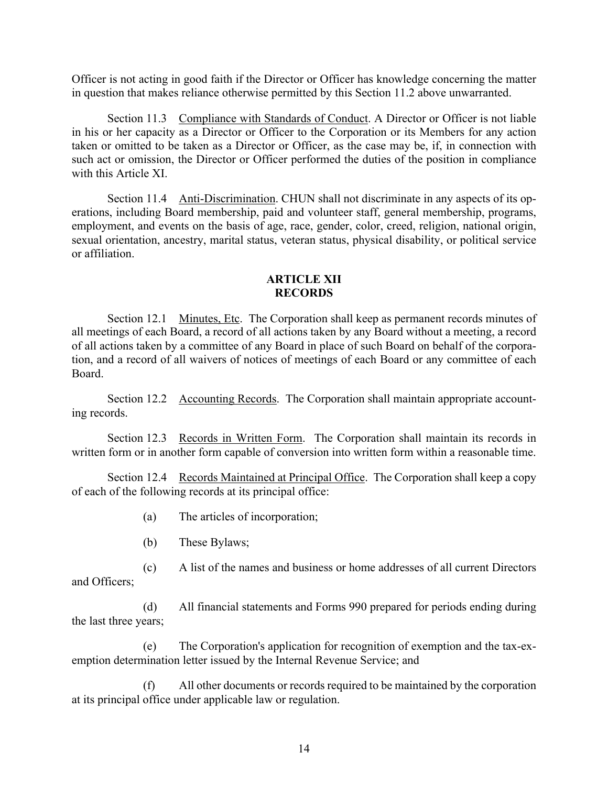Officer is not acting in good faith if the Director or Officer has knowledge concerning the matter in question that makes reliance otherwise permitted by this Section 11.2 above unwarranted.

Section 11.3 Compliance with Standards of Conduct. A Director or Officer is not liable in his or her capacity as a Director or Officer to the Corporation or its Members for any action taken or omitted to be taken as a Director or Officer, as the case may be, if, in connection with such act or omission, the Director or Officer performed the duties of the position in compliance with this Article XI.

Section 11.4 Anti-Discrimination. CHUN shall not discriminate in any aspects of its operations, including Board membership, paid and volunteer staff, general membership, programs, employment, and events on the basis of age, race, gender, color, creed, religion, national origin, sexual orientation, ancestry, marital status, veteran status, physical disability, or political service or affiliation.

### **ARTICLE XII RECORDS**

Section 12.1 Minutes, Etc. The Corporation shall keep as permanent records minutes of all meetings of each Board, a record of all actions taken by any Board without a meeting, a record of all actions taken by a committee of any Board in place of such Board on behalf of the corporation, and a record of all waivers of notices of meetings of each Board or any committee of each Board.

Section 12.2 Accounting Records. The Corporation shall maintain appropriate accounting records.

Section 12.3 Records in Written Form. The Corporation shall maintain its records in written form or in another form capable of conversion into written form within a reasonable time.

Section 12.4 Records Maintained at Principal Office. The Corporation shall keep a copy of each of the following records at its principal office:

- (a) The articles of incorporation;
- (b) These Bylaws;

(c) A list of the names and business or home addresses of all current Directors and Officers;

(d) All financial statements and Forms 990 prepared for periods ending during the last three years;

(e) The Corporation's application for recognition of exemption and the tax-exemption determination letter issued by the Internal Revenue Service; and

All other documents or records required to be maintained by the corporation at its principal office under applicable law or regulation.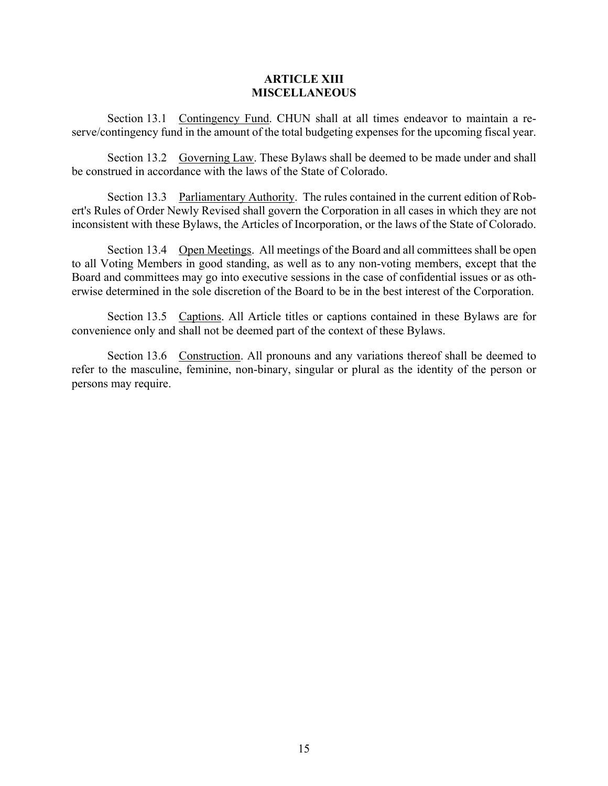### **ARTICLE XIII MISCELLANEOUS**

Section 13.1 Contingency Fund. CHUN shall at all times endeavor to maintain a reserve/contingency fund in the amount of the total budgeting expenses for the upcoming fiscal year.

Section 13.2 Governing Law. These Bylaws shall be deemed to be made under and shall be construed in accordance with the laws of the State of Colorado.

Section 13.3 Parliamentary Authority. The rules contained in the current edition of Robert's Rules of Order Newly Revised shall govern the Corporation in all cases in which they are not inconsistent with these Bylaws, the Articles of Incorporation, or the laws of the State of Colorado.

Section 13.4 Open Meetings. All meetings of the Board and all committees shall be open to all Voting Members in good standing, as well as to any non-voting members, except that the Board and committees may go into executive sessions in the case of confidential issues or as otherwise determined in the sole discretion of the Board to be in the best interest of the Corporation.

Section 13.5 Captions. All Article titles or captions contained in these Bylaws are for convenience only and shall not be deemed part of the context of these Bylaws.

Section 13.6 Construction. All pronouns and any variations thereof shall be deemed to refer to the masculine, feminine, non-binary, singular or plural as the identity of the person or persons may require.